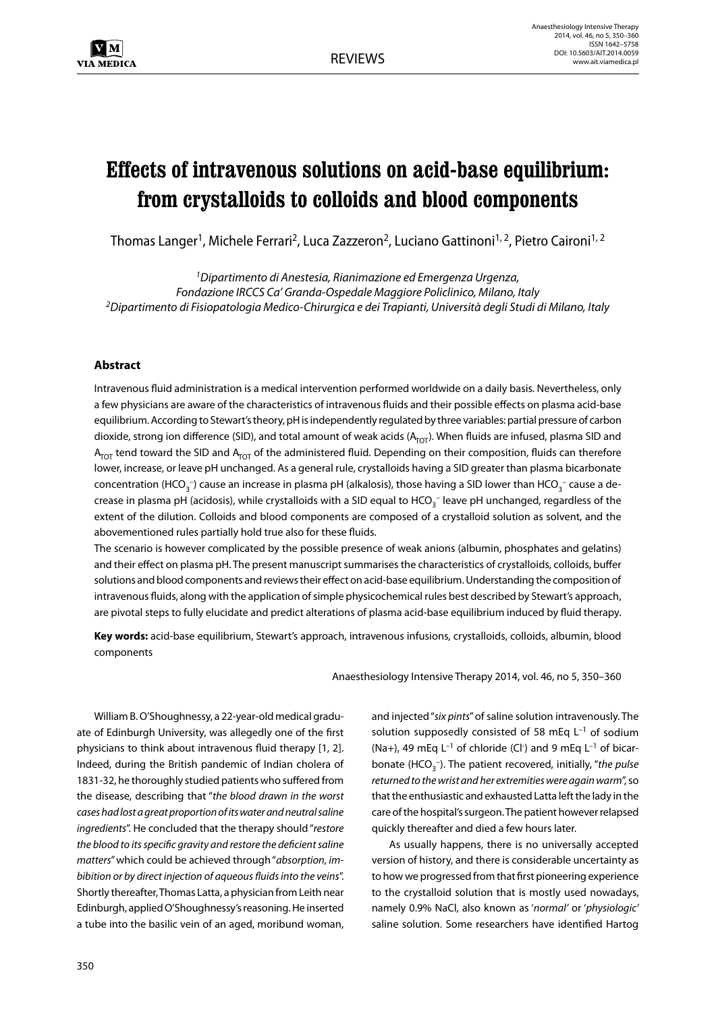# **Effects of intravenous solutions on acid-base equilibrium: from crystalloids to colloids and blood components**

Thomas Langer<sup>1</sup>, Michele Ferrari<sup>2</sup>, Luca Zazzeron<sup>2</sup>, Luciano Gattinoni<sup>1, 2</sup>, Pietro Caironi<sup>1, 2</sup>

*1Dipartimento di Anestesia, Rianimazione ed Emergenza Urgenza, Fondazione IRCCS Ca' Granda-Ospedale Maggiore Policlinico, Milano, Italy 2Dipartimento di Fisiopatologia Medico-Chirurgica e dei Trapianti, Università degli Studi di Milano, Italy*

## **Abstract**

Intravenous fluid administration is a medical intervention performed worldwide on a daily basis. Nevertheless, only a few physicians are aware of the characteristics of intravenous fluids and their possible effects on plasma acid-base equilibrium. According to Stewart's theory, pH is independently regulated by three variables: partial pressure of carbon dioxide, strong ion difference (SID), and total amount of weak acids  $(A_{\text{TOT}})$ . When fluids are infused, plasma SID and  $A_{\text{TOT}}$  tend toward the SID and  $A_{\text{TOT}}$  of the administered fluid. Depending on their composition, fluids can therefore lower, increase, or leave pH unchanged. As a general rule, crystalloids having a SID greater than plasma bicarbonate concentration (HCO<sub>3</sub><sup>-</sup>) cause an increase in plasma pH (alkalosis), those having a SID lower than HCO<sub>3</sub><sup>-</sup> cause a decrease in plasma pH (acidosis), while crystalloids with a SID equal to HCO<sub>3</sub><sup>-</sup> leave pH unchanged, regardless of the extent of the dilution. Colloids and blood components are composed of a crystalloid solution as solvent, and the abovementioned rules partially hold true also for these fluids.

The scenario is however complicated by the possible presence of weak anions (albumin, phosphates and gelatins) and their effect on plasma pH. The present manuscript summarises the characteristics of crystalloids, colloids, buffer solutions and blood components and reviews their effect on acid-base equilibrium. Understanding the composition of intravenous fluids, along with the application of simple physicochemical rules best described by Stewart's approach, are pivotal steps to fully elucidate and predict alterations of plasma acid-base equilibrium induced by fluid therapy.

**Key words:** acid-base equilibrium, Stewart's approach, intravenous infusions, crystalloids, colloids, albumin, blood components

Anaesthesiology Intensive Therapy 2014, vol. 46, no 5, 350–360

William B. O'Shoughnessy, a 22-year-old medical graduate of Edinburgh University, was allegedly one of the first physicians to think about intravenous fluid therapy [1, 2]. Indeed, during the British pandemic of Indian cholera of 1831-32, he thoroughly studied patients who suffered from the disease, describing that "*the blood drawn in the worst cases had lost a great proportion of its water and neutral saline ingredients*". He concluded that the therapy should "*restore the blood to its specific gravity and restore the deficient saline matters*" which could be achieved through "*absorption, imbibition or by direct injection of aqueous fluids into the veins*". Shortly thereafter, Thomas Latta, a physician from Leith near Edinburgh, applied O'Shoughnessy's reasoning. He inserted a tube into the basilic vein of an aged, moribund woman,

and injected "*six pints*" of saline solution intravenously. The solution supposedly consisted of 58 mEq  $L^{-1}$  of sodium (Na+), 49 mEq  $L^{-1}$  of chloride (Cl<sup>-</sup>) and 9 mEq  $L^{-1}$  of bicarbonate (HCO<sub>3</sub><sup>-</sup>). The patient recovered, initially, "the pulse *returned to the wrist and her extremities were again warm*", so that the enthusiastic and exhausted Latta left the lady in the care of the hospital's surgeon. The patient however relapsed quickly thereafter and died a few hours later.

As usually happens, there is no universally accepted version of history, and there is considerable uncertainty as to how we progressed from that first pioneering experience to the crystalloid solution that is mostly used nowadays, namely 0.9% NaCl, also known as '*normal'* or '*physiologic'* saline solution. Some researchers have identified Hartog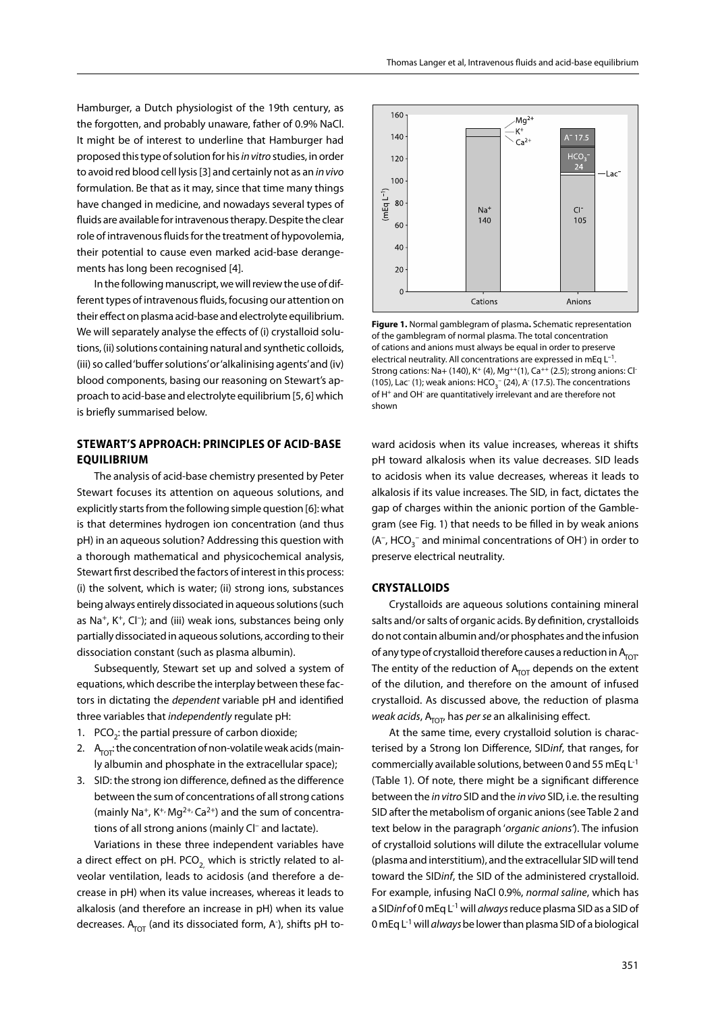Hamburger, a Dutch physiologist of the 19th century, as the forgotten, and probably unaware, father of 0.9% NaCl. It might be of interest to underline that Hamburger had proposed this type of solution for his *in vitro* studies, in order to avoid red blood cell lysis [3] and certainly not as an *in vivo*  formulation. Be that as it may, since that time many things have changed in medicine, and nowadays several types of fluids are available for intravenous therapy. Despite the clear role of intravenous fluids for the treatment of hypovolemia, their potential to cause even marked acid-base derangements has long been recognised [4].

In the following manuscript, we will review the use of different types of intravenous fluids, focusing our attention on their effect on plasma acid-base and electrolyte equilibrium. We will separately analyse the effects of (i) crystalloid solutions, (ii) solutions containing natural and synthetic colloids, (iii) so called 'buffer solutions' or 'alkalinising agents' and (iv) blood components, basing our reasoning on Stewart's approach to acid-base and electrolyte equilibrium [5, 6] which is briefly summarised below.

## **STEWART'S APPROACH: PRINCIPLES OF ACID-BASE EQUILIBRIUM**

The analysis of acid-base chemistry presented by Peter Stewart focuses its attention on aqueous solutions, and explicitly starts from the following simple question [6]: what is that determines hydrogen ion concentration (and thus pH) in an aqueous solution? Addressing this question with a thorough mathematical and physicochemical analysis, Stewart first described the factors of interest in this process: (i) the solvent, which is water; (ii) strong ions, substances being always entirely dissociated in aqueous solutions (such as Na<sup>+</sup>, K<sup>+</sup>, Cl<sup>-</sup>); and (iii) weak ions, substances being only partially dissociated in aqueous solutions, according to their dissociation constant (such as plasma albumin).

Subsequently, Stewart set up and solved a system of equations, which describe the interplay between these factors in dictating the *dependent* variable pH and identified three variables that *independently* regulate pH:

- 1.  $PCO<sub>2</sub>$ : the partial pressure of carbon dioxide;
- 2.  $A_{\text{TOT}}$ : the concentration of non-volatile weak acids (mainly albumin and phosphate in the extracellular space);
- 3. SID: the strong ion difference, defined as the difference between the sum of concentrations of all strong cations (mainly Na<sup>+</sup>, K<sup>+,</sup> Mg<sup>2+,</sup> Ca<sup>2+</sup>) and the sum of concentrations of all strong anions (mainly Cl– and lactate).

Variations in these three independent variables have a direct effect on pH. PCO<sub>2</sub> which is strictly related to alveolar ventilation, leads to acidosis (and therefore a decrease in pH) when its value increases, whereas it leads to alkalosis (and therefore an increase in pH) when its value decreases. A<sub>TOT</sub> (and its dissociated form, A<sup>-</sup>), shifts pH to-



**Figure 1.** Normal gamblegram of plasma**.** Schematic representation of the gamblegram of normal plasma. The total concentration of cations and anions must always be equal in order to preserve electrical neutrality. All concentrations are expressed in mEq L–1. Strong cations: Na+ (140), K<sup>+</sup> (4), Mg<sup>++</sup>(1), Ca<sup>++</sup> (2.5); strong anions: Cl<sup>-</sup> (105), Lac (1); weak anions:  $HCO<sub>3</sub><sup>-</sup>$  (24), A (17.5). The concentrations of H<sup>+</sup> and OH<sup>-</sup> are quantitatively irrelevant and are therefore not shown

ward acidosis when its value increases, whereas it shifts pH toward alkalosis when its value decreases. SID leads to acidosis when its value decreases, whereas it leads to alkalosis if its value increases. The SID, in fact, dictates the gap of charges within the anionic portion of the Gamblegram (see Fig. 1) that needs to be filled in by weak anions  $(A<sup>-</sup>, HCO<sub>3</sub><sup>-</sup>$  and minimal concentrations of OH  $)$  in order to preserve electrical neutrality.

## **CRYSTALLOIDS**

Crystalloids are aqueous solutions containing mineral salts and/or salts of organic acids. By definition, crystalloids do not contain albumin and/or phosphates and the infusion of any type of crystalloid therefore causes a reduction in  $A_{\text{tot}}$ . The entity of the reduction of  $A<sub>TOT</sub>$  depends on the extent of the dilution, and therefore on the amount of infused crystalloid. As discussed above, the reduction of plasma *weak acids*, A<sub>TOT</sub>, has *per se* an alkalinising effect.

At the same time, every crystalloid solution is characterised by a Strong Ion Difference, SID*inf*, that ranges, for commercially available solutions, between 0 and 55 mEq  $L^{-1}$ (Table 1). Of note, there might be a significant difference between the *in vitro* SID and the *in vivo* SID, i.e. the resulting SID after the metabolism of organic anions (see Table 2 and text below in the paragraph '*organic anions'*). The infusion of crystalloid solutions will dilute the extracellular volume (plasma and interstitium), and the extracellular SID will tend toward the SID*inf*, the SID of the administered crystalloid. For example, infusing NaCl 0.9%, *normal saline*, which has a SID*inf* of 0 mEq L-1 will *always* reduce plasma SID as a SID of 0 mEq L-1 will *always* be lower than plasma SID of a biological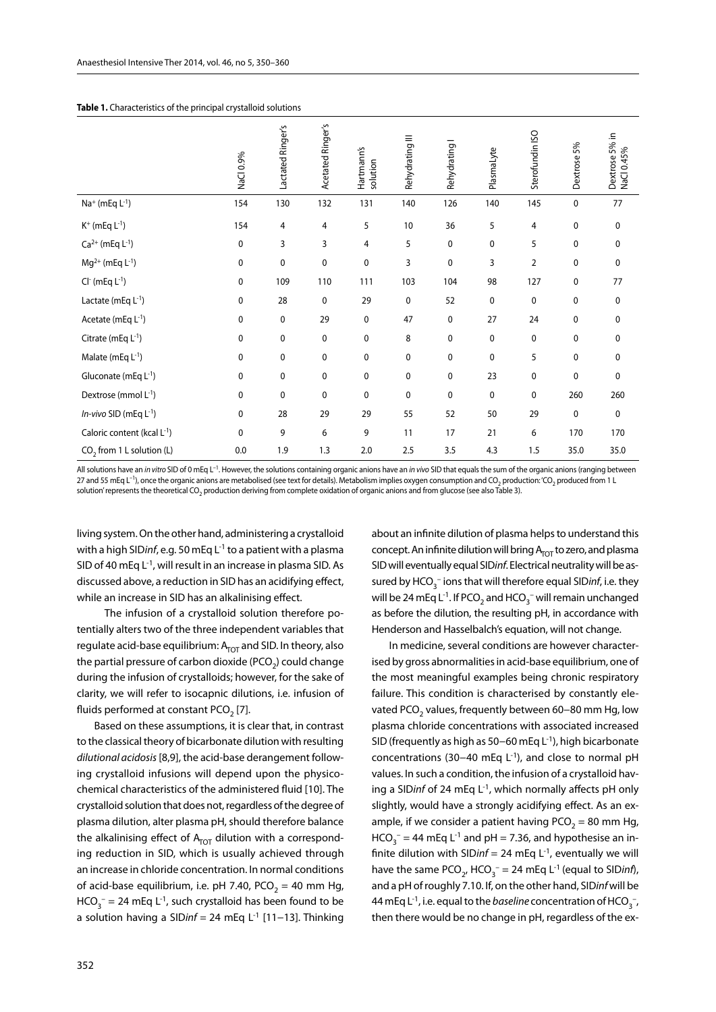|                                  | NaCl 0.9%    | Lactated Ringer's | Acetated Ringer's | Hartmann's<br>solution | Rehydrating III | Rehydrating I | PlasmaLyte  | Sterofundin ISO | Dextrose 5% | Dextrose 5% in<br>NaCl 0.45% |
|----------------------------------|--------------|-------------------|-------------------|------------------------|-----------------|---------------|-------------|-----------------|-------------|------------------------------|
| $Na^+$ (mEq $L^{-1}$ )           | 154          | 130               | 132               | 131                    | 140             | 126           | 140         | 145             | 0           | 77                           |
| $K^{+}$ (mEq $L^{-1}$ )          | 154          | 4                 | 4                 | 5                      | 10              | 36            | 5           | 4               | 0           | 0                            |
| $Ca^{2+}$ (mEq $L^{-1}$ )        | 0            | 3                 | 3                 | 4                      | 5               | 0             | 0           | 5               | 0           | 0                            |
| $Mg^{2+}$ (mEq L <sup>-1</sup> ) | 0            | $\pmb{0}$         | 0                 | 0                      | 3               | 0             | 3           | 2               | 0           | 0                            |
| $Cl-$ (mEq $L-1$ )               | 0            | 109               | 110               | 111                    | 103             | 104           | 98          | 127             | 0           | 77                           |
| Lactate (mEq $L^{-1}$ )          | $\mathbf 0$  | 28                | $\mathbf 0$       | 29                     | 0               | 52            | $\mathbf 0$ | $\mathbf 0$     | 0           | 0                            |
| Acetate (mEq $L^{-1}$ )          | 0            | $\mathbf 0$       | 29                | 0                      | 47              | 0             | 27          | 24              | 0           | 0                            |
| Citrate (mEq $L^{-1}$ )          | 0            | $\pmb{0}$         | 0                 | 0                      | 8               | 0             | $\mathbf 0$ | 0               | 0           | 0                            |
| Malate (mEq $L^{-1}$ )           | 0            | 0                 | 0                 | 0                      | 0               | 0             | 0           | 5               | 0           | 0                            |
| Gluconate (mEq $L^{-1}$ )        | 0            | $\pmb{0}$         | 0                 | 0                      | 0               | 0             | 23          | 0               | 0           | 0                            |
| Dextrose (mmol $L^{-1}$ )        | 0            | 0                 | 0                 | 0                      | 0               | 0             | 0           | 0               | 260         | 260                          |
| In-vivo SID (mEq $L^{-1}$ )      | 0            | 28                | 29                | 29                     | 55              | 52            | 50          | 29              | 0           | 0                            |
| Caloric content (kcal L-1)       | $\mathbf{0}$ | 9                 | 6                 | 9                      | 11              | 17            | 21          | 6               | 170         | 170                          |
| $CO2$ from 1 L solution (L)      | 0.0          | 1.9               | 1.3               | 2.0                    | 2.5             | 3.5           | 4.3         | 1.5             | 35.0        | 35.0                         |

All solutions have an *in vitro* SID of 0 mEq L–1. However, the solutions containing organic anions have an *in vivo* SID that equals the sum of the organic anions (ranging between 27 and 55 mEq L<sup>-1</sup>), once the organic anions are metabolised (see text for details). Metabolism implies oxygen consumption and CO<sub>2</sub> production: 'CO<sub>2</sub> produced from 1 L solution' represents the theoretical CO<sub>2</sub> production deriving from complete oxidation of organic anions and from glucose (see also Table 3).

living system. On the other hand, administering a crystalloid with a high SID*inf*, e.g. 50 mEq L-1 to a patient with a plasma SID of 40 mEq  $L^{-1}$ , will result in an increase in plasma SID. As discussed above, a reduction in SID has an acidifying effect, while an increase in SID has an alkalinising effect.

 The infusion of a crystalloid solution therefore potentially alters two of the three independent variables that regulate acid-base equilibrium:  $A<sub>TOT</sub>$  and SID. In theory, also the partial pressure of carbon dioxide (PCO<sub>2</sub>) could change during the infusion of crystalloids; however, for the sake of clarity, we will refer to isocapnic dilutions, i.e. infusion of fluids performed at constant PCO<sub>2</sub> [7].

Based on these assumptions, it is clear that, in contrast to the classical theory of bicarbonate dilution with resulting *dilutional acidosis* [8,9], the acid-base derangement following crystalloid infusions will depend upon the physicochemical characteristics of the administered fluid [10]. The crystalloid solution that does not, regardless of the degree of plasma dilution, alter plasma pH, should therefore balance the alkalinising effect of  $A<sub>TOT</sub>$  dilution with a corresponding reduction in SID, which is usually achieved through an increase in chloride concentration. In normal conditions of acid-base equilibrium, i.e. pH 7.40, PCO<sub>2</sub> = 40 mm Hg,  $HCO_3^-$  = 24 mEq L<sup>-1</sup>, such crystalloid has been found to be a solution having a SID*inf =* 24 mEq L-1 [11−13]. Thinking

about an infinite dilution of plasma helps to understand this concept. An infinite dilution will bring  $A_{\text{TOT}}$  to zero, and plasma SID will eventually equal SID*inf*. Electrical neutrality will be assured by HCO<sub>3</sub><sup>-</sup> ions that will therefore equal SID*inf*, i.e. they will be 24 mEq L<sup>-1</sup>. If PCO<sub>2</sub> and HCO<sub>3</sub><sup>-</sup> will remain unchanged as before the dilution, the resulting pH, in accordance with Henderson and Hasselbalch's equation, will not change.

In medicine, several conditions are however characterised by gross abnormalities in acid-base equilibrium, one of the most meaningful examples being chronic respiratory failure. This condition is characterised by constantly elevated PCO<sub>2</sub> values, frequently between 60-80 mm Hg, low plasma chloride concentrations with associated increased SID (frequently as high as 50−60 mEq L-1), high bicarbonate concentrations (30−40 mEq L-1), and close to normal pH values. In such a condition, the infusion of a crystalloid having a SID*inf* of 24 mEq L-1, which normally affects pH only slightly, would have a strongly acidifying effect. As an example, if we consider a patient having PCO<sub>2</sub> = 80 mm Hg,  $HCO_3^-$  = 44 mEq L<sup>-1</sup> and pH = 7.36, and hypothesise an infinite dilution with SIDinf = 24 mEq  $L^{-1}$ , eventually we will have the same  $PCO_{2'}$  HCO<sub>3</sub><sup>-</sup> = 24 mEq L<sup>-1</sup> (equal to SID*inf*), and a pH of roughly 7.10. If, on the other hand, SID*inf* will be 44 mEq L<sup>-1</sup>, i.e. equal to the *baseline* concentration of HCO<sub>3</sub><sup>-</sup>, then there would be no change in pH, regardless of the ex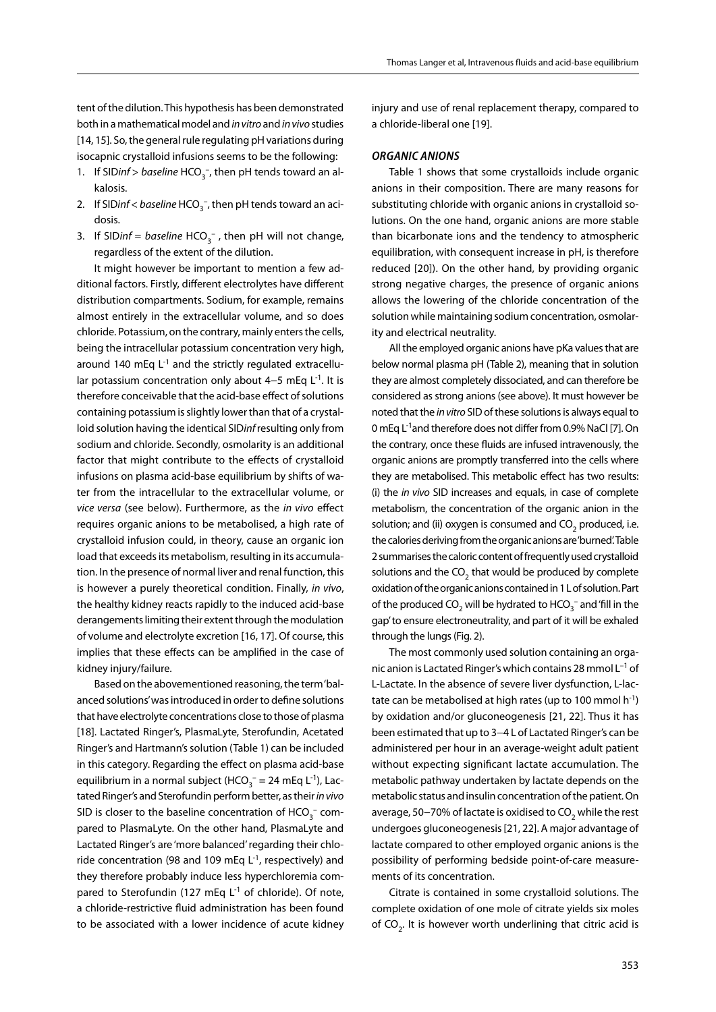tent of the dilution. This hypothesis has been demonstrated both in a mathematical model and *in vitro* and *in vivo* studies [14, 15]. So, the general rule regulating pH variations during isocapnic crystalloid infusions seems to be the following:

- 1. If SID*inf* > *baseline*  $HCO_3^-$ , then pH tends toward an alkalosis.
- 2. If SID*inf < baseline* HCO<sub>3</sub><sup>-</sup>, then pH tends toward an acidosis.
- 3. If SIDinf = *baseline* HCO<sub>3</sub><sup>-</sup>, then pH will not change, regardless of the extent of the dilution.

It might however be important to mention a few additional factors. Firstly, different electrolytes have different distribution compartments. Sodium, for example, remains almost entirely in the extracellular volume, and so does chloride. Potassium, on the contrary, mainly enters the cells, being the intracellular potassium concentration very high, around 140 mEq  $L^{-1}$  and the strictly regulated extracellular potassium concentration only about 4–5 mEq L<sup>-1</sup>. It is therefore conceivable that the acid-base effect of solutions containing potassium is slightly lower than that of a crystalloid solution having the identical SID*inf* resulting only from sodium and chloride. Secondly, osmolarity is an additional factor that might contribute to the effects of crystalloid infusions on plasma acid-base equilibrium by shifts of water from the intracellular to the extracellular volume, or *vice versa* (see below). Furthermore, as the *in vivo* effect requires organic anions to be metabolised, a high rate of crystalloid infusion could, in theory, cause an organic ion load that exceeds its metabolism, resulting in its accumulation. In the presence of normal liver and renal function, this is however a purely theoretical condition. Finally, *in vivo*, the healthy kidney reacts rapidly to the induced acid-base derangements limiting their extent through the modulation of volume and electrolyte excretion [16, 17]. Of course, this implies that these effects can be amplified in the case of kidney injury/failure.

Based on the abovementioned reasoning, the term 'balanced solutions' was introduced in order to define solutions that have electrolyte concentrations close to those of plasma [18]. Lactated Ringer's, PlasmaLyte, Sterofundin, Acetated Ringer's and Hartmann's solution (Table 1) can be included in this category. Regarding the effect on plasma acid-base equilibrium in a normal subject (HCO<sub>3</sub><sup>-</sup> = 24 mEq L<sup>-1</sup>), Lactated Ringer's and Sterofundin perform better, as their *in vivo*  SID is closer to the baseline concentration of  $\mathsf{HCO}_3^-$  compared to PlasmaLyte. On the other hand, PlasmaLyte and Lactated Ringer's are 'more balanced' regarding their chloride concentration (98 and 109 mEq  $L^1$ , respectively) and they therefore probably induce less hyperchloremia compared to Sterofundin (127 mEq  $L^{-1}$  of chloride). Of note, a chloride-restrictive fluid administration has been found to be associated with a lower incidence of acute kidney injury and use of renal replacement therapy, compared to a chloride-liberal one [19].

## *Organic anions*

Table 1 shows that some crystalloids include organic anions in their composition. There are many reasons for substituting chloride with organic anions in crystalloid solutions. On the one hand, organic anions are more stable than bicarbonate ions and the tendency to atmospheric equilibration, with consequent increase in pH, is therefore reduced [20]). On the other hand, by providing organic strong negative charges, the presence of organic anions allows the lowering of the chloride concentration of the solution while maintaining sodium concentration, osmolarity and electrical neutrality.

All the employed organic anions have pKa values that are below normal plasma pH (Table 2), meaning that in solution they are almost completely dissociated, and can therefore be considered as strong anions (see above). It must however be noted that the *in vitro* SID of these solutions is always equal to 0 mEq L-1and therefore does not differ from 0.9% NaCl [7]. On the contrary, once these fluids are infused intravenously, the organic anions are promptly transferred into the cells where they are metabolised. This metabolic effect has two results: (i) the *in vivo* SID increases and equals, in case of complete metabolism, the concentration of the organic anion in the solution; and (ii) oxygen is consumed and  $CO<sub>2</sub>$  produced, i.e. the calories deriving from the organic anions are 'burned'. Table 2 summarises the caloric content of frequently used crystalloid solutions and the  $CO<sub>2</sub>$  that would be produced by complete oxidation of the organic anions contained in 1 L of solution. Part of the produced CO<sub>2</sub> will be hydrated to HCO<sub>3</sub><sup>-</sup> and 'fill in the gap' to ensure electroneutrality, and part of it will be exhaled through the lungs (Fig. 2).

The most commonly used solution containing an organic anion is Lactated Ringer's which contains 28 mmol L–1 of L-Lactate. In the absence of severe liver dysfunction, L-lactate can be metabolised at high rates (up to 100 mmol  $h^{-1}$ ) by oxidation and/or gluconeogenesis [21, 22]. Thus it has been estimated that up to 3−4 L of Lactated Ringer's can be administered per hour in an average-weight adult patient without expecting significant lactate accumulation. The metabolic pathway undertaken by lactate depends on the metabolic status and insulin concentration of the patient. On average, 50-70% of lactate is oxidised to CO<sub>2</sub> while the rest undergoes gluconeogenesis [21, 22]. A major advantage of lactate compared to other employed organic anions is the possibility of performing bedside point-of-care measurements of its concentration.

Citrate is contained in some crystalloid solutions. The complete oxidation of one mole of citrate yields six moles of  $CO<sub>2</sub>$ . It is however worth underlining that citric acid is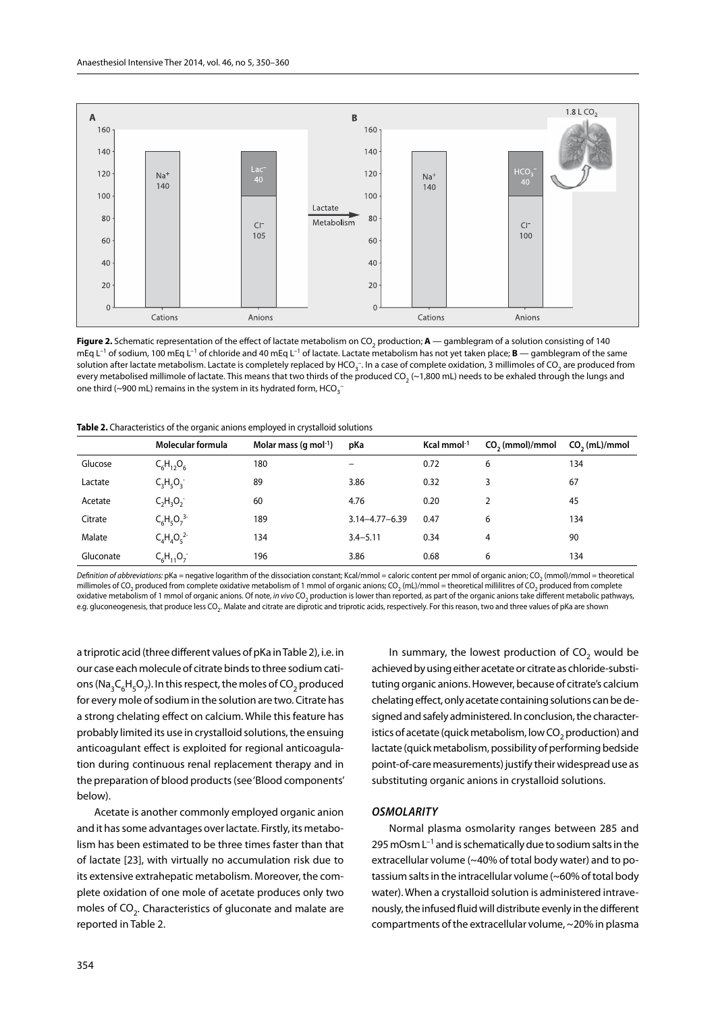

Figure 2. Schematic representation of the effect of lactate metabolism on CO<sub>2</sub> production; A — gamblegram of a solution consisting of 140 mEq L–1 of sodium, 100 mEq L–1 of chloride and 40 mEq L–1 of lactate. Lactate metabolism has not yet taken place; **B** — gamblegram of the same solution after lactate metabolism. Lactate is completely replaced by HCO<sub>3</sub>-. In a case of complete oxidation, 3 millimoles of CO<sub>2</sub> are produced from every metabolised millimole of lactate. This means that two thirds of the produced CO<sub>2</sub> (~1,800 mL) needs to be exhaled through the lungs and one third (~900 mL) remains in the system in its hydrated form, HCO $_3^-$ 

| Table 2. Characteristics of the organic anions employed in crystalloid solutions |  |  |  |
|----------------------------------------------------------------------------------|--|--|--|
|----------------------------------------------------------------------------------|--|--|--|

|           | Molecular formula | Molar mass (g mol <sup>-1</sup> ) | pKa                      | Kcal mmol $-1$ | $CO2$ (mmol)/mmol | $CO2$ (mL)/mmol |
|-----------|-------------------|-----------------------------------|--------------------------|----------------|-------------------|-----------------|
| Glucose   | $C_6H_{12}O_6$    | 180                               | $\overline{\phantom{m}}$ | 0.72           | 6                 | 134             |
| Lactate   | $C_3H_5O_3$       | 89                                | 3.86                     | 0.32           | 3                 | 67              |
| Acetate   | $C_2H_3O_2^-$     | 60                                | 4.76                     | 0.20           |                   | 45              |
| Citrate   | $C_6H_5O_7^{3-}$  | 189                               | $3.14 - 4.77 - 6.39$     | 0.47           | 6                 | 134             |
| Malate    | $C_4H_4O_5^{2}$   | 134                               | $3.4 - 5.11$             | 0.34           | 4                 | 90              |
| Gluconate | $C_6H_{11}O_7$    | 196                               | 3.86                     | 0.68           | 6                 | 134             |

Definition of abbreviations: pKa = negative logarithm of the dissociation constant; Kcal/mmol = caloric content per mmol of organic anion; CO<sub>2</sub> (mmol)/mmol = theoretical millimoles of CO<sub>2</sub> produced from complete oxidative metabolism of 1 mmol of organic anions; CO<sub>2</sub> (mL)/mmol = theoretical millilitres of CO<sub>2</sub> produced from complete oxidative metabolism of 1 mmol of organic anions. Of note, *in vivo* CO2 production is lower than reported, as part of the organic anions take different metabolic pathways, e.g. gluconeogenesis, that produce less CO<sub>2</sub>. Malate and citrate are diprotic and triprotic acids, respectively. For this reason, two and three values of pKa are shown

a triprotic acid (three different values of pKa in Table 2), i.e. in our case each molecule of citrate binds to three sodium cations (Na<sub>3</sub>C<sub> $\epsilon$ </sub>H<sub> $\epsilon$ </sub>O<sub>7</sub>). In this respect, the moles of CO<sub>2</sub> produced for every mole of sodium in the solution are two. Citrate has a strong chelating effect on calcium. While this feature has probably limited its use in crystalloid solutions, the ensuing anticoagulant effect is exploited for regional anticoagulation during continuous renal replacement therapy and in the preparation of blood products (see 'Blood components' below).

Acetate is another commonly employed organic anion and it has some advantages over lactate. Firstly, its metabolism has been estimated to be three times faster than that of lactate [23], with virtually no accumulation risk due to its extensive extrahepatic metabolism. Moreover, the complete oxidation of one mole of acetate produces only two moles of  $CO<sub>2</sub>$ . Characteristics of gluconate and malate are reported in Table 2.

In summary, the lowest production of  $CO<sub>2</sub>$  would be achieved by using either acetate or citrate as chloride-substituting organic anions. However, because of citrate's calcium chelating effect, only acetate containing solutions can be designed and safely administered. In conclusion, the characteristics of acetate (quick metabolism, low CO<sub>2</sub> production) and lactate (quick metabolism, possibility of performing bedside point-of-care measurements) justify their widespread use as substituting organic anions in crystalloid solutions.

#### *Osmolarity*

Normal plasma osmolarity ranges between 285 and 295 mOsm  $L^{-1}$  and is schematically due to sodium salts in the extracellular volume (~40% of total body water) and to potassium salts in the intracellular volume (~60% of total body water). When a crystalloid solution is administered intravenously, the infused fluid will distribute evenly in the different compartments of the extracellular volume, ~20% in plasma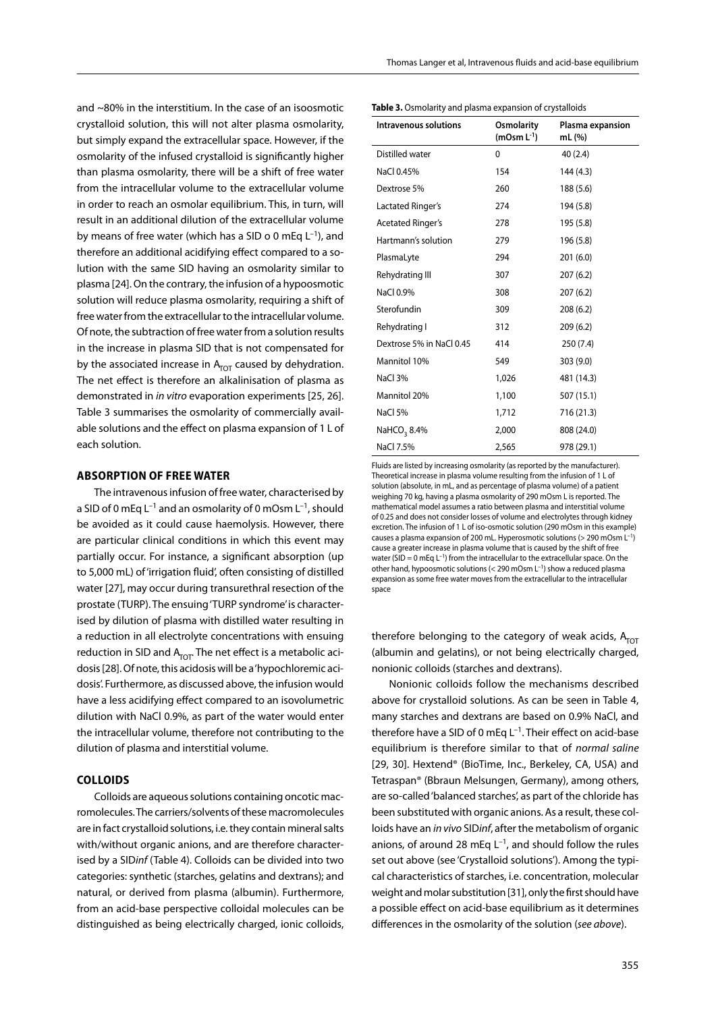and ~80% in the interstitium. In the case of an isoosmotic crystalloid solution, this will not alter plasma osmolarity, but simply expand the extracellular space. However, if the osmolarity of the infused crystalloid is significantly higher than plasma osmolarity, there will be a shift of free water from the intracellular volume to the extracellular volume in order to reach an osmolar equilibrium. This, in turn, will result in an additional dilution of the extracellular volume by means of free water (which has a SID o 0 mEq  $L^{-1}$ ), and therefore an additional acidifying effect compared to a solution with the same SID having an osmolarity similar to plasma [24]. On the contrary, the infusion of a hypoosmotic solution will reduce plasma osmolarity, requiring a shift of free water from the extracellular to the intracellular volume. Of note, the subtraction of free water from a solution results in the increase in plasma SID that is not compensated for by the associated increase in  $A<sub>TOT</sub>$  caused by dehydration. The net effect is therefore an alkalinisation of plasma as demonstrated in *in vitro* evaporation experiments [25, 26]. Table 3 summarises the osmolarity of commercially available solutions and the effect on plasma expansion of 1 L of each solution.

#### **ABSORPTION OF FREE WATER**

The intravenous infusion of free water, characterised by a SID of 0 mEq  $L^{-1}$  and an osmolarity of 0 mOsm  $L^{-1}$ , should be avoided as it could cause haemolysis. However, there are particular clinical conditions in which this event may partially occur. For instance, a significant absorption (up to 5,000 mL) of 'irrigation fluid', often consisting of distilled water [27], may occur during transurethral resection of the prostate (TURP). The ensuing 'TURP syndrome' is characterised by dilution of plasma with distilled water resulting in a reduction in all electrolyte concentrations with ensuing reduction in SID and  $A_{\text{TOT}}$ . The net effect is a metabolic acidosis [28]. Of note, this acidosis will be a 'hypochloremic acidosis'. Furthermore, as discussed above, the infusion would have a less acidifying effect compared to an isovolumetric dilution with NaCl 0.9%, as part of the water would enter the intracellular volume, therefore not contributing to the dilution of plasma and interstitial volume.

#### **COLLOIDS**

Colloids are aqueous solutions containing oncotic macromolecules. The carriers/solvents of these macromolecules are in fact crystalloid solutions, i.e. they contain mineral salts with/without organic anions, and are therefore characterised by a SID*inf* (Table 4). Colloids can be divided into two categories: synthetic (starches, gelatins and dextrans); and natural, or derived from plasma (albumin). Furthermore, from an acid-base perspective colloidal molecules can be distinguished as being electrically charged, ionic colloids,

|  |  |  |  | Table 3. Osmolarity and plasma expansion of crystalloids |
|--|--|--|--|----------------------------------------------------------|
|--|--|--|--|----------------------------------------------------------|

| Intravenous solutions    | Osmolarity<br>$(mOsm L^{-1})$ | Plasma expansion<br>mL (%) |
|--------------------------|-------------------------------|----------------------------|
| Distilled water          | 0                             | 40 (2.4)                   |
| NaCl 0.45%               | 154                           | 144 (4.3)                  |
| Dextrose 5%              | 260                           | 188 (5.6)                  |
| Lactated Ringer's        | 274                           | 194 (5.8)                  |
| <b>Acetated Ringer's</b> | 278                           | 195 (5.8)                  |
| Hartmann's solution      | 279                           | 196 (5.8)                  |
| PlasmaLyte               | 294                           | 201(6.0)                   |
| Rehydrating III          | 307                           | 207(6.2)                   |
| NaCl 0.9%                | 308                           | 207(6.2)                   |
| Sterofundin              | 309                           | 208(6.2)                   |
| Rehydrating I            | 312                           | 209(6.2)                   |
| Dextrose 5% in NaCl 0.45 | 414                           | 250 (7.4)                  |
| Mannitol 10%             | 549                           | 303 (9.0)                  |
| NaCl 3%                  | 1,026                         | 481 (14.3)                 |
| Mannitol 20%             | 1,100                         | 507 (15.1)                 |
| NaCl 5%                  | 1,712                         | 716 (21.3)                 |
| NaHCO <sub>3</sub> 8.4%  | 2,000                         | 808 (24.0)                 |
| NaCl 7.5%                | 2,565                         | 978 (29.1)                 |

Fluids are listed by increasing osmolarity (as reported by the manufacturer). Theoretical increase in plasma volume resulting from the infusion of 1 L of solution (absolute, in mL, and as percentage of plasma volume) of a patient weighing 70 kg, having a plasma osmolarity of 290 mOsm L is reported. The mathematical model assumes a ratio between plasma and interstitial volume of 0.25 and does not consider losses of volume and electrolytes through kidney excretion. The infusion of 1 L of iso-osmotic solution (290 mOsm in this example) causes a plasma expansion of 200 mL. Hyperosmotic solutions (> 290 mOsm L–1) cause a greater increase in plasma volume that is caused by the shift of free water (SID = 0 mEq  $L^{-1}$ ) from the intracellular to the extracellular space. On the other hand, hypoosmotic solutions (< 290 mOsm L–1) show a reduced plasma expansion as some free water moves from the extracellular to the intracellular space

therefore belonging to the category of weak acids,  $A<sub>TOT</sub>$ (albumin and gelatins), or not being electrically charged, nonionic colloids (starches and dextrans).

Nonionic colloids follow the mechanisms described above for crystalloid solutions. As can be seen in Table 4, many starches and dextrans are based on 0.9% NaCl, and therefore have a SID of 0 mEq  $L^{-1}$ . Their effect on acid-base equilibrium is therefore similar to that of *normal saline*  [29, 30]. Hextend® (BioTime, Inc., Berkeley, CA, USA) and Tetraspan® (Bbraun Melsungen, Germany), among others, are so-called 'balanced starches', as part of the chloride has been substituted with organic anions. As a result, these colloids have an *in vivo* SID*inf*, after the metabolism of organic anions, of around 28 mEq  $L^{-1}$ , and should follow the rules set out above (see 'Crystalloid solutions'). Among the typical characteristics of starches, i.e. concentration, molecular weight and molar substitution [31], only the first should have a possible effect on acid-base equilibrium as it determines differences in the osmolarity of the solution (*see above*).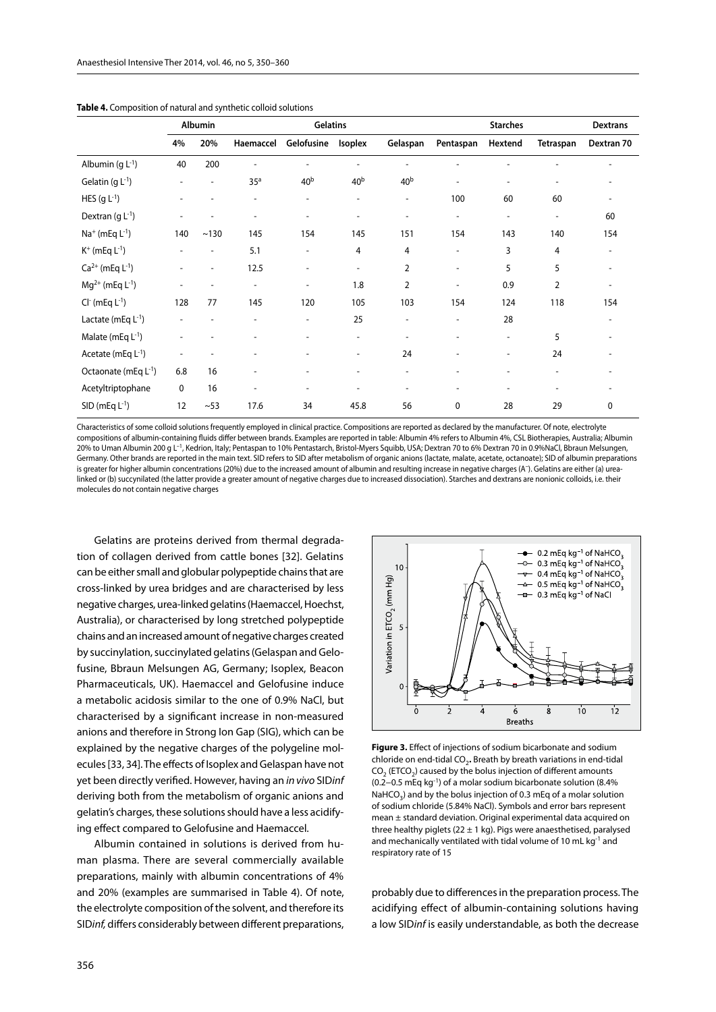|                                  | Gelatins<br>Albumin      |      |                              |                              |                          | <b>Dextrans</b>          |                          |                              |                          |                          |
|----------------------------------|--------------------------|------|------------------------------|------------------------------|--------------------------|--------------------------|--------------------------|------------------------------|--------------------------|--------------------------|
|                                  | 4%                       | 20%  | Haemaccel                    | Gelofusine                   | Isoplex                  | Gelaspan                 | Pentaspan                | Hextend                      | Tetraspan                | Dextran 70               |
| Albumin (g $L^{-1}$ )            | 40                       | 200  |                              | $\overline{\phantom{a}}$     |                          |                          |                          |                              |                          |                          |
| Gelatin (g $L^{-1}$ )            | $\overline{\phantom{a}}$ |      | 35 <sup>a</sup>              | 40 <sup>b</sup>              | 40 <sup>b</sup>          | 40 <sup>b</sup>          | ٠                        | $\overline{\phantom{a}}$     |                          |                          |
| HES $(g L^{-1})$                 |                          |      |                              | $\overline{a}$               |                          | $\overline{\phantom{a}}$ | 100                      | 60                           | 60                       |                          |
| Dextran $(qL^{-1})$              |                          |      |                              |                              |                          |                          |                          | $\overline{\phantom{a}}$     | $\overline{\phantom{a}}$ | 60                       |
| $Na^{+}$ (mEq $L^{-1}$ )         | 140                      | ~130 | 145                          | 154                          | 145                      | 151                      | 154                      | 143                          | 140                      | 154                      |
| $K^+$ (mEq $L^{-1}$ )            | $\overline{\phantom{a}}$ |      | 5.1                          | $\qquad \qquad \blacksquare$ | 4                        | 4                        | $\overline{a}$           | 3                            | 4                        | $\overline{\phantom{0}}$ |
| $Ca^{2+}$ (mEq $L^{-1}$ )        |                          |      | 12.5                         | $\overline{\phantom{a}}$     | $\overline{\phantom{a}}$ | $\overline{2}$           | $\overline{\phantom{a}}$ | 5                            | 5                        |                          |
| $Mg^{2+}$ (mEq L <sup>-1</sup> ) | ٠                        |      | $\overline{\phantom{a}}$     | $\overline{\phantom{a}}$     | 1.8                      | 2                        | $\overline{a}$           | 0.9                          | 2                        |                          |
| $Cl-$ (mEq $L-1$ )               | 128                      | 77   | 145                          | 120                          | 105                      | 103                      | 154                      | 124                          | 118                      | 154                      |
| Lactate (mEq $L^{-1}$ )          | $\overline{\phantom{a}}$ |      | $\qquad \qquad \blacksquare$ | $\overline{\phantom{a}}$     | 25                       | $\overline{\phantom{a}}$ |                          | 28                           |                          |                          |
| Malate (mEq $L^{-1}$ )           |                          |      |                              |                              |                          |                          |                          |                              | 5                        |                          |
| Acetate (mEq $L^{-1}$ )          |                          |      |                              |                              |                          | 24                       |                          | $\qquad \qquad \blacksquare$ | 24                       |                          |
| Octaonate (mEq L <sup>-1</sup> ) | 6.8                      | 16   |                              |                              |                          |                          |                          |                              |                          |                          |
| Acetyltriptophane                | $\mathbf 0$              | 16   | $\qquad \qquad \blacksquare$ | ٠                            |                          |                          |                          | $\overline{\phantom{a}}$     |                          |                          |
| $SID$ (mEq $L^{-1}$ )            | 12                       | ~53  | 17.6                         | 34                           | 45.8                     | 56                       | 0                        | 28                           | 29                       | 0                        |

**Table 4.** Composition of natural and synthetic colloid solutions

Characteristics of some colloid solutions frequently employed in clinical practice. Compositions are reported as declared by the manufacturer. Of note, electrolyte compositions of albumin-containing fluids differ between brands. Examples are reported in table: Albumin 4% refers to Albumin 4%, CSL Biotherapies, Australia; Albumin 20% to Uman Albumin 200 g L–1, Kedrion, Italy; Pentaspan to 10% Pentastarch, Bristol-Myers Squibb, USA; Dextran 70 to 6% Dextran 70 in 0.9%NaCl, Bbraun Melsungen, Germany. Other brands are reported in the main text. SID refers to SID after metabolism of organic anions (lactate, malate, acetate, octanoate); SID of albumin preparations is greater for higher albumin concentrations (20%) due to the increased amount of albumin and resulting increase in negative charges (A–). Gelatins are either (a) urealinked or (b) succynilated (the latter provide a greater amount of negative charges due to increased dissociation). Starches and dextrans are nonionic colloids, i.e. their molecules do not contain negative charges

Gelatins are proteins derived from thermal degradation of collagen derived from cattle bones [32]. Gelatins can be either small and globular polypeptide chains that are cross-linked by urea bridges and are characterised by less negative charges, urea-linked gelatins (Haemaccel, Hoechst, Australia), or characterised by long stretched polypeptide chains and an increased amount of negative charges created by succinylation, succinylated gelatins (Gelaspan and Gelofusine, Bbraun Melsungen AG, Germany; Isoplex, Beacon Pharmaceuticals, UK). Haemaccel and Gelofusine induce a metabolic acidosis similar to the one of 0.9% NaCl, but characterised by a significant increase in non-measured anions and therefore in Strong Ion Gap (SIG), which can be explained by the negative charges of the polygeline molecules [33, 34]. The effects of Isoplex and Gelaspan have not yet been directly verified. However, having an *in vivo* SID*inf*  deriving both from the metabolism of organic anions and gelatin's charges, these solutions should have a less acidifying effect compared to Gelofusine and Haemaccel.

Albumin contained in solutions is derived from human plasma. There are several commercially available preparations, mainly with albumin concentrations of 4% and 20% (examples are summarised in Table 4). Of note, the electrolyte composition of the solvent, and therefore its SID*inf,* differs considerably between different preparations,



**Figure 3.** Effect of injections of sodium bicarbonate and sodium chloride on end-tidal CO<sub>2</sub>. Breath by breath variations in end-tidal  $CO<sub>2</sub>$  (ETCO<sub>2</sub>) caused by the bolus injection of different amounts (0.2−0.5 mEq kg-1) of a molar sodium bicarbonate solution (8.4% NaHCO<sub>3</sub>) and by the bolus injection of 0.3 mEq of a molar solution of sodium chloride (5.84% NaCl). Symbols and error bars represent mean ± standard deviation. Original experimental data acquired on three healthy piglets (22  $\pm$  1 kg). Pigs were anaesthetised, paralysed and mechanically ventilated with tidal volume of 10 mL kg<sup>-1</sup> and respiratory rate of 15

probably due to differences in the preparation process. The acidifying effect of albumin-containing solutions having a low SID*inf* is easily understandable, as both the decrease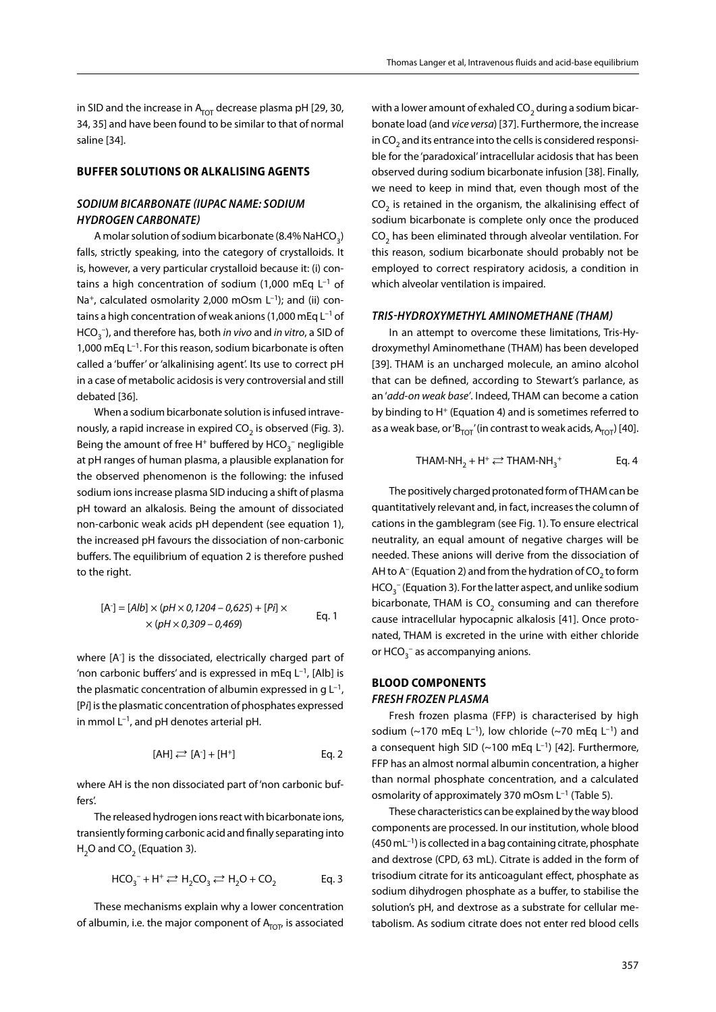in SID and the increase in  $A<sub>TOT</sub>$  decrease plasma pH [29, 30, 34, 35] and have been found to be similar to that of normal saline [34].

### **BUFFER SOLUTIONS OR ALKALISING AGENTS**

# *Sodium bicarbonate (IUPAC name: Sodium hydrogen carbonate)*

A molar solution of sodium bicarbonate  $(8.4\%$  NaHCO<sub>3</sub>) falls, strictly speaking, into the category of crystalloids. It is, however, a very particular crystalloid because it: (i) contains a high concentration of sodium (1,000 mEq  $L^{-1}$  of Na<sup>+</sup>, calculated osmolarity 2,000 mOsm  $L^{-1}$ ); and (ii) contains a high concentration of weak anions (1,000 mEq  $L^{-1}$  of HCO3 –), and therefore has, both *in vivo* and *in vitro*, a SID of 1,000 mEq  $L^{-1}$ . For this reason, sodium bicarbonate is often called a 'buffer' or 'alkalinising agent'. Its use to correct pH in a case of metabolic acidosis is very controversial and still debated [36].

When a sodium bicarbonate solution is infused intravenously, a rapid increase in expired  $CO<sub>2</sub>$  is observed (Fig. 3). Being the amount of free H $^{\mathrm{+}}$  buffered by HCO $_3^{-}$  negligible at pH ranges of human plasma, a plausible explanation for the observed phenomenon is the following: the infused sodium ions increase plasma SID inducing a shift of plasma pH toward an alkalosis. Being the amount of dissociated non-carbonic weak acids pH dependent (see equation 1), the increased pH favours the dissociation of non-carbonic buffers. The equilibrium of equation 2 is therefore pushed to the right.

$$
[A] = [Alb] \times (pH \times 0, 1204 - 0, 625) + [Pi] \times
$$
  
 
$$
\times (pH \times 0, 309 - 0, 469)
$$
 Eq. 1

where [A- ] is the dissociated, electrically charged part of 'non carbonic buffers' and is expressed in mEq  $L^{-1}$ , [Alb] is the plasmatic concentration of albumin expressed in  $g L^{-1}$ , [P*i*] is the plasmatic concentration of phosphates expressed in mmol  $L^{-1}$ , and pH denotes arterial pH.

$$
[AH] \rightleftarrows [A] + [H^+] \qquad \qquad Eq. 2
$$

where AH is the non dissociated part of 'non carbonic buffers'.

The released hydrogen ions react with bicarbonate ions, transiently forming carbonic acid and finally separating into H<sub>2</sub>O and CO<sub>2</sub> (Equation 3).

$$
HCO_3^- + H^+ \rightleftarrows H_2CO_3 \rightleftarrows H_2O + CO_2
$$
 Eq. 3

These mechanisms explain why a lower concentration of albumin, i.e. the major component of  $A<sub>TOT</sub>$  is associated with a lower amount of exhaled  $CO<sub>2</sub>$  during a sodium bicarbonate load (and *vice versa*) [37]. Furthermore, the increase in CO<sub>2</sub> and its entrance into the cells is considered responsible for the 'paradoxical' intracellular acidosis that has been observed during sodium bicarbonate infusion [38]. Finally, we need to keep in mind that, even though most of the  $CO<sub>2</sub>$  is retained in the organism, the alkalinising effect of sodium bicarbonate is complete only once the produced  $CO<sub>2</sub>$  has been eliminated through alveolar ventilation. For this reason, sodium bicarbonate should probably not be employed to correct respiratory acidosis, a condition in which alveolar ventilation is impaired.

#### *Tris-Hydroxymethyl Aminomethane (THAM)*

In an attempt to overcome these limitations, Tris-Hydroxymethyl Aminomethane (THAM) has been developed [39]. THAM is an uncharged molecule, an amino alcohol that can be defined, according to Stewart's parlance, as an '*add-on weak base'*. Indeed, THAM can become a cation by binding to H<sup>+</sup> (Equation 4) and is sometimes referred to as a weak base, or ' $B_{TOT}$ ' (in contrast to weak acids,  $A_{TOT}$ ) [40].

$$
THAM-NH_2 + H^+ \rightleftarrows THAM-NH_3^+
$$
 Eq. 4

The positively charged protonated form of THAM can be quantitatively relevant and, in fact, increases the column of cations in the gamblegram (see Fig. 1). To ensure electrical neutrality, an equal amount of negative charges will be needed. These anions will derive from the dissociation of AH to  $A^-$  (Equation 2) and from the hydration of CO<sub>2</sub> to form  $HCO^{-1}_3$  (Equation 3). For the latter aspect, and unlike sodium bicarbonate, THAM is  $CO<sub>2</sub>$  consuming and can therefore cause intracellular hypocapnic alkalosis [41]. Once protonated, THAM is excreted in the urine with either chloride or  $HCO_3^-$  as accompanying anions.

## **BLOOD COMPONENTS** *Fresh frozen plasma*

Fresh frozen plasma (FFP) is characterised by high sodium (~170 mEq  $L^{-1}$ ), low chloride (~70 mEq  $L^{-1}$ ) and a consequent high SID ( $\sim$ 100 mEq L<sup>-1</sup>) [42]. Furthermore, FFP has an almost normal albumin concentration, a higher than normal phosphate concentration, and a calculated osmolarity of approximately 370 mOsm L<sup>-1</sup> (Table 5).

These characteristics can be explained by the way blood components are processed. In our institution, whole blood  $(450 \text{ mL}^{-1})$  is collected in a bag containing citrate, phosphate and dextrose (CPD, 63 mL). Citrate is added in the form of trisodium citrate for its anticoagulant effect, phosphate as sodium dihydrogen phosphate as a buffer, to stabilise the solution's pH, and dextrose as a substrate for cellular metabolism. As sodium citrate does not enter red blood cells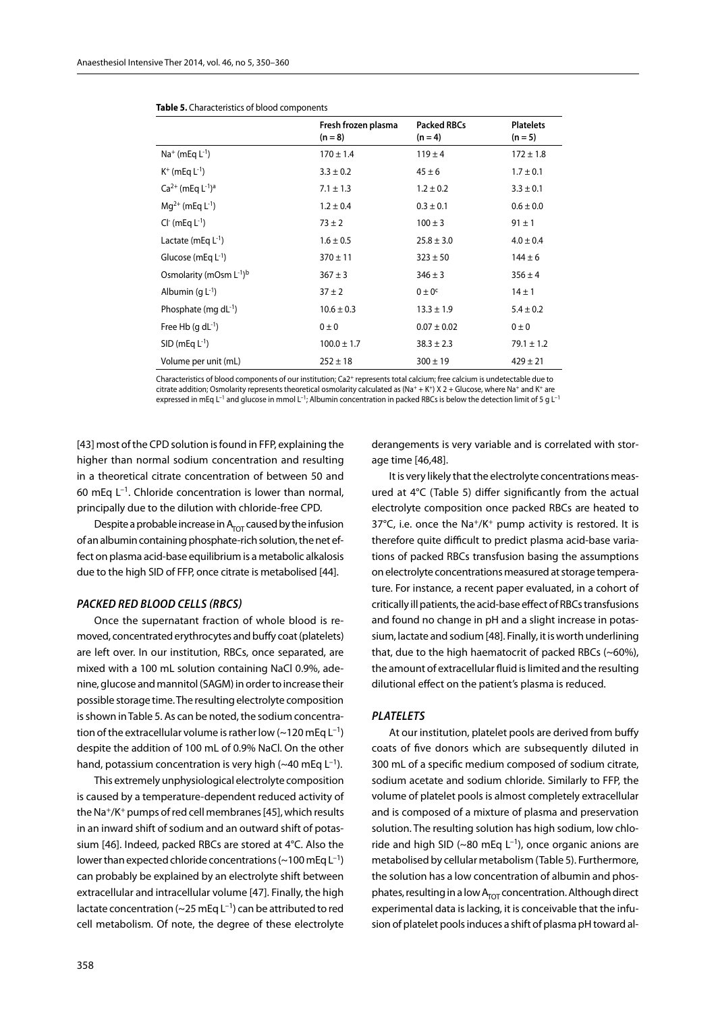| Fresh frozen plasma<br>$(n = 8)$ | <b>Packed RBCs</b><br>$(n = 4)$ | <b>Platelets</b><br>$(n = 5)$ |
|----------------------------------|---------------------------------|-------------------------------|
| $170 \pm 1.4$                    | $119 \pm 4$                     | $172 \pm 1.8$                 |
| $3.3 \pm 0.2$                    | $45 \pm 6$                      | $1.7 \pm 0.1$                 |
| $7.1 \pm 1.3$                    | $1.2 \pm 0.2$                   | $3.3 \pm 0.1$                 |
| $1.2 \pm 0.4$                    | $0.3 \pm 0.1$                   | $0.6 \pm 0.0$                 |
| $73 \pm 2$                       | $100 \pm 3$                     | $91 \pm 1$                    |
| $1.6 \pm 0.5$                    | $25.8 \pm 3.0$                  | $4.0 \pm 0.4$                 |
| $370 \pm 11$                     | $323 \pm 50$                    | $144 \pm 6$                   |
| $367 \pm 3$                      | $346 \pm 3$                     | $356 \pm 4$                   |
| $37 \pm 2$                       | $0 \pm 0$ <sup>c</sup>          | $14 \pm 1$                    |
| $10.6 \pm 0.3$                   | $13.3 \pm 1.9$                  | $5.4 \pm 0.2$                 |
| $0 \pm 0$                        | $0.07 \pm 0.02$                 | $0 \pm 0$                     |
| $100.0 \pm 1.7$                  | $38.3 \pm 2.3$                  | $79.1 \pm 1.2$                |
| $252 \pm 18$                     | $300 \pm 19$                    | $429 \pm 21$                  |
|                                  |                                 |                               |

| Table 5. Characteristics of blood components |  |  |
|----------------------------------------------|--|--|
|----------------------------------------------|--|--|

Characteristics of blood components of our institution:  $Ca2<sup>+</sup>$  represents total calcium; free calcium is undetectable due to citrate addition; Osmolarity represents theoretical osmolarity calculated as (Na<sup>+</sup> + K<sup>+</sup>) X 2 + Glucose, where Na<sup>+</sup> and K<sup>+</sup> are expressed in mEq L<sup>-1</sup> and glucose in mmol L<sup>-1</sup>; Albumin concentration in packed RBCs is below the detection limit of 5 g L<sup>-1</sup>

[43] most of the CPD solution is found in FFP, explaining the higher than normal sodium concentration and resulting in a theoretical citrate concentration of between 50 and 60 mEq  $L^{-1}$ . Chloride concentration is lower than normal, principally due to the dilution with chloride-free CPD.

Despite a probable increase in  $A<sub>TOT</sub>$  caused by the infusion of an albumin containing phosphate-rich solution, the net effect on plasma acid-base equilibrium is a metabolic alkalosis due to the high SID of FFP, once citrate is metabolised [44].

#### *Packed red blood cells (RBCs)*

Once the supernatant fraction of whole blood is removed, concentrated erythrocytes and buffy coat (platelets) are left over. In our institution, RBCs, once separated, are mixed with a 100 mL solution containing NaCl 0.9%, adenine, glucose and mannitol (SAGM) in order to increase their possible storage time. The resulting electrolyte composition is shown in Table 5. As can be noted, the sodium concentration of the extracellular volume is rather low  $(-120 \text{ m} \text{Ea} \text{L}^{-1})$ despite the addition of 100 mL of 0.9% NaCl. On the other hand, potassium concentration is very high (~40 mEq  $L^{-1}$ ).

This extremely unphysiological electrolyte composition is caused by a temperature-dependent reduced activity of the Na+/K+ pumps of red cell membranes [45], which results in an inward shift of sodium and an outward shift of potassium [46]. Indeed, packed RBCs are stored at 4°C. Also the lower than expected chloride concentrations ( $\sim$ 100 mEq L<sup>-1</sup>) can probably be explained by an electrolyte shift between extracellular and intracellular volume [47]. Finally, the high lactate concentration ( $\sim$ 25 mEq L<sup>-1</sup>) can be attributed to red cell metabolism. Of note, the degree of these electrolyte

derangements is very variable and is correlated with storage time [46,48].

It is very likely that the electrolyte concentrations measured at 4°C (Table 5) differ significantly from the actual electrolyte composition once packed RBCs are heated to 37°C, i.e. once the Na+/K+ pump activity is restored. It is therefore quite difficult to predict plasma acid-base variations of packed RBCs transfusion basing the assumptions on electrolyte concentrations measured at storage temperature. For instance, a recent paper evaluated, in a cohort of critically ill patients, the acid-base effect of RBCs transfusions and found no change in pH and a slight increase in potassium, lactate and sodium [48]. Finally, it is worth underlining that, due to the high haematocrit of packed RBCs (~60%), the amount of extracellular fluid is limited and the resulting dilutional effect on the patient's plasma is reduced.

## *Platelets*

At our institution, platelet pools are derived from buffy coats of five donors which are subsequently diluted in 300 mL of a specific medium composed of sodium citrate, sodium acetate and sodium chloride. Similarly to FFP, the volume of platelet pools is almost completely extracellular and is composed of a mixture of plasma and preservation solution. The resulting solution has high sodium, low chloride and high SID (~80 mEq  $L^{-1}$ ), once organic anions are metabolised by cellular metabolism (Table 5). Furthermore, the solution has a low concentration of albumin and phosphates, resulting in a low  $A<sub>TOT</sub>$  concentration. Although direct experimental data is lacking, it is conceivable that the infusion of platelet pools induces a shift of plasma pH toward al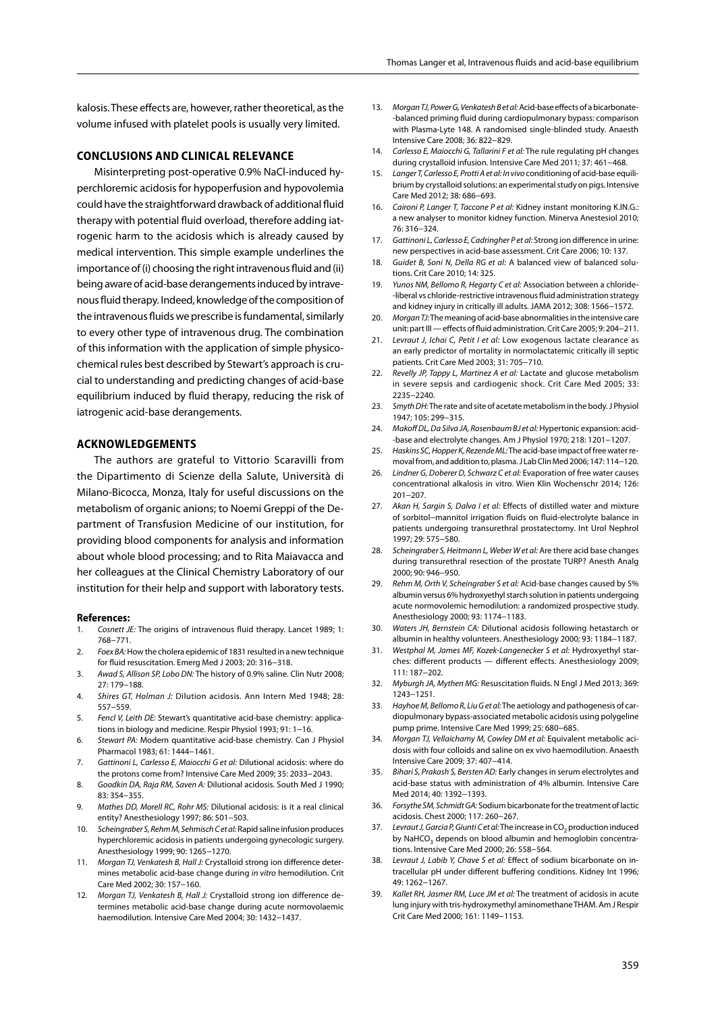kalosis. These effects are, however, rather theoretical, as the volume infused with platelet pools is usually very limited.

## **Conclusions and clinical relevance**

Misinterpreting post-operative 0.9% NaCl-induced hyperchloremic acidosis for hypoperfusion and hypovolemia could have the straightforward drawback of additional fluid therapy with potential fluid overload, therefore adding iatrogenic harm to the acidosis which is already caused by medical intervention. This simple example underlines the importance of (i) choosing the right intravenous fluid and (ii) being aware of acid-base derangements induced by intravenous fluid therapy. Indeed, knowledge of the composition of the intravenous fluids we prescribe is fundamental, similarly to every other type of intravenous drug. The combination of this information with the application of simple physicochemical rules best described by Stewart's approach is crucial to understanding and predicting changes of acid-base equilibrium induced by fluid therapy, reducing the risk of iatrogenic acid-base derangements.

#### **Acknowledgements**

The authors are grateful to Vittorio Scaravilli from the Dipartimento di Scienze della Salute, Università di Milano-Bicocca, Monza, Italy for useful discussions on the metabolism of organic anions; to Noemi Greppi of the Department of Transfusion Medicine of our institution, for providing blood components for analysis and information about whole blood processing; and to Rita Maiavacca and her colleagues at the Clinical Chemistry Laboratory of our institution for their help and support with laboratory tests.

#### **References:**

- 1. *Cosnett JE:* The origins of intravenous fluid therapy. Lancet 1989; 1: 768−771.
- 2. *Foex BA:* How the cholera epidemic of 1831 resulted in a new technique for fluid resuscitation. Emerg Med J 2003; 20: 316−318.
- 3. *Awad S, Allison SP, Lobo DN:* The history of 0.9% saline. Clin Nutr 2008; 27: 179−188.
- 4. *Shires GT, Holman J:* Dilution acidosis. Ann Intern Med 1948; 28: 557−559.
- 5. *Fencl V, Leith DE:* Stewart's quantitative acid-base chemistry: applications in biology and medicine. Respir Physiol 1993; 91: 1−16.
- 6. *Stewart PA:* Modern quantitative acid-base chemistry. Can J Physiol Pharmacol 1983; 61: 1444−1461.
- 7. *Gattinoni L, Carlesso E, Maiocchi G et al:* Dilutional acidosis: where do the protons come from? Intensive Care Med 2009; 35: 2033−2043.
- 8. *Goodkin DA, Raja RM, Saven A:* Dilutional acidosis. South Med J 1990; 83: 354−355.
- 9. *Mathes DD, Morell RC, Rohr MS:* Dilutional acidosis: is it a real clinical entity? Anesthesiology 1997; 86: 501−503.
- 10. *Scheingraber S, Rehm M, Sehmisch C et al:* Rapid saline infusion produces hyperchloremic acidosis in patients undergoing gynecologic surgery. Anesthesiology 1999; 90: 1265−1270.
- 11. *Morgan TJ, Venkatesh B, Hall J:* Crystalloid strong ion difference determines metabolic acid-base change during *in vitro* hemodilution. Crit Care Med 2002; 30: 157−160.
- 12. *Morgan TJ, Venkatesh B, Hall J:* Crystalloid strong ion difference determines metabolic acid-base change during acute normovolaemic haemodilution. Intensive Care Med 2004; 30: 1432−1437.
- 13. *Morgan TJ, Power G, Venkatesh B et al:* Acid-base effects of a bicarbonate- -balanced priming fluid during cardiopulmonary bypass: comparison with Plasma-Lyte 148. A randomised single-blinded study. Anaesth Intensive Care 2008; 36: 822−829.
- 14. *Carlesso E, Maiocchi G, Tallarini F et al:* The rule regulating pH changes during crystalloid infusion. Intensive Care Med 2011; 37: 461−468.
- 15. *Langer T, Carlesso E, Protti A et al: In vivo* conditioning of acid-base equilibrium by crystalloid solutions: an experimental study on pigs. Intensive Care Med 2012; 38: 686−693.
- 16. *Caironi P, Langer T, Taccone P et al:* Kidney instant monitoring K.IN.G.: a new analyser to monitor kidney function. Minerva Anestesiol 2010; 76: 316−324.
- 17. *Gattinoni L, Carlesso E, Cadringher P et al:* Strong ion difference in urine: new perspectives in acid-base assessment. Crit Care 2006; 10: 137.
- 18. *Guidet B, Soni N, Della RG et al:* A balanced view of balanced solutions. Crit Care 2010; 14: 325.
- 19. *Yunos NM, Bellomo R, Hegarty C et al:* Association between a chloride- -liberal vs chloride-restrictive intravenous fluid administration strategy and kidney injury in critically ill adults. JAMA 2012; 308: 1566−1572.
- 20. *Morgan TJ:* The meaning of acid-base abnormalities in the intensive care unit: part III — effects of fluid administration. Crit Care 2005; 9: 204−211.
- 21. *Levraut J, Ichai C, Petit I et al:* Low exogenous lactate clearance as an early predictor of mortality in normolactatemic critically ill septic patients. Crit Care Med 2003; 31: 705−710.
- 22. *Revelly JP, Tappy L, Martinez A et al:* Lactate and glucose metabolism in severe sepsis and cardiogenic shock. Crit Care Med 2005; 33: 2235−2240.
- 23. *Smyth DH:* The rate and site of acetate metabolism in the body. J Physiol 1947; 105: 299−315.
- 24. *Makoff DL, Da Silva JA, Rosenbaum BJ et al:* Hypertonic expansion: acid- -base and electrolyte changes. Am J Physiol 1970; 218: 1201−1207.
- 25. *Haskins SC, Hopper K, Rezende ML:* The acid-base impact of free water removal from, and addition to, plasma. J Lab Clin Med 2006; 147: 114−120.
- 26. *Lindner G, Doberer D, Schwarz C et al:* Evaporation of free water causes concentrational alkalosis in vitro. Wien Klin Wochenschr 2014; 126: 201−207.
- 27. *Akan H, Sargin S, Dalva I et al:* Effects of distilled water and mixture of sorbitol−mannitol irrigation fluids on fluid-electrolyte balance in patients undergoing transurethral prostatectomy. Int Urol Nephrol 1997; 29: 575−580.
- 28. *Scheingraber S, Heitmann L, Weber W et al:* Are there acid base changes during transurethral resection of the prostate TURP? Anesth Analg 2000; 90: 946−950.
- 29. *Rehm M, Orth V, Scheingraber S et al:* Acid-base changes caused by 5% albumin versus 6% hydroxyethyl starch solution in patients undergoing acute normovolemic hemodilution: a randomized prospective study. Anesthesiology 2000; 93: 1174−1183.
- 30. *Waters JH, Bernstein CA:* Dilutional acidosis following hetastarch or albumin in healthy volunteers. Anesthesiology 2000; 93: 1184−1187.
- 31. *Westphal M, James MF, Kozek-Langenecker S et al:* Hydroxyethyl starches: different products — different effects. Anesthesiology 2009; 111: 187−202.
- 32. *Myburgh JA, Mythen MG:* Resuscitation fluids. N Engl J Med 2013; 369: 1243−1251.
- 33. *Hayhoe M, Bellomo R, Liu G et al:* The aetiology and pathogenesis of cardiopulmonary bypass-associated metabolic acidosis using polygeline pump prime. Intensive Care Med 1999; 25: 680−685.
- 34. *Morgan TJ, Vellaichamy M, Cowley DM et al:* Equivalent metabolic acidosis with four colloids and saline on ex vivo haemodilution. Anaesth Intensive Care 2009; 37: 407−414.
- 35. *Bihari S, Prakash S, Bersten AD:* Early changes in serum electrolytes and acid-base status with administration of 4% albumin. Intensive Care Med 2014; 40: 1392−1393.
- 36. *Forsythe SM, Schmidt GA:* Sodium bicarbonate for the treatment of lactic acidosis. Chest 2000; 117: 260−267.
- 37. Levraut J, Garcia P, Giunti C et al: The increase in CO<sub>2</sub> production induced by NaHCO<sub>3</sub> depends on blood albumin and hemoglobin concentrations. Intensive Care Med 2000; 26: 558−564.
- 38. *Levraut J, Labib Y, Chave S et al:* Effect of sodium bicarbonate on intracellular pH under different buffering conditions. Kidney Int 1996; 49: 1262−1267.
- 39. *Kallet RH, Jasmer RM, Luce JM et al:* The treatment of acidosis in acute lung injury with tris-hydroxymethyl aminomethane THAM. Am J Respir Crit Care Med 2000; 161: 1149−1153.